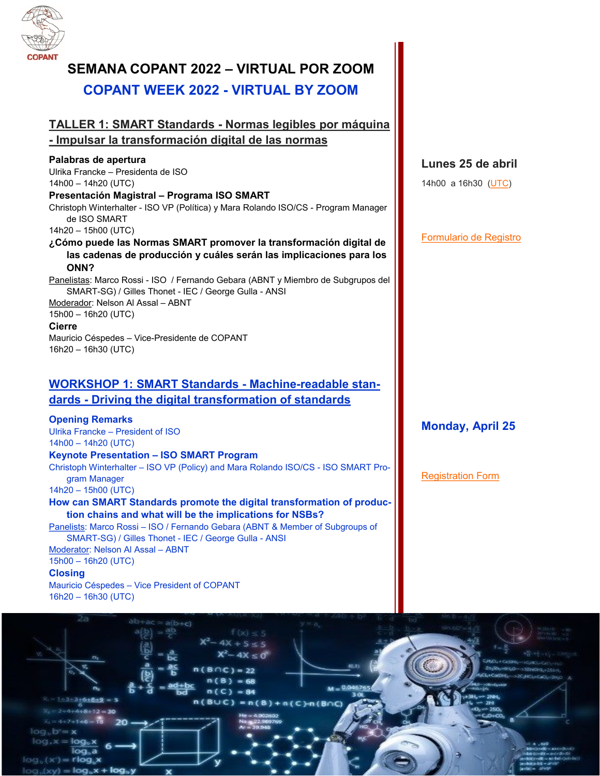

# **SEMANA COPANT 2022 – VIRTUAL POR ZOOM COPANT WEEK 2022 - VIRTUAL BY ZOOM**

# **TALLER 1: SMART Standards - Normas legibles por máquina**

# **- Impulsar la transformación digital de las normas**

# **Palabras de apertura**

Ulrika Francke – Presidenta de ISO 14h00 – 14h20 (UTC)

#### **Presentación Magistral – Programa ISO SMART**

Christoph Winterhalter - ISO VP (Política) y Mara Rolando ISO/CS - Program Manager de ISO SMART

## 14h20 – 15h00 (UTC)

#### **¿Cómo puede las Normas SMART promover la transformación digital de las cadenas de producción y cuáles serán las implicaciones para los ONN?**

Panelistas: Marco Rossi - ISO / Fernando Gebara (ABNT y Miembro de Subgrupos del SMART-SG) / Gilles Thonet - IEC / George Gulla - ANSI

Moderador: Nelson Al Assal – ABNT 15h00 – 16h20 (UTC)

### **Cierre**

Mauricio Céspedes – Vice-Presidente de COPANT 16h20 – 16h30 (UTC)

# **WORKSHOP 1: SMART Standards - Machine-readable standards - Driving the digital transformation of standards**

# **Opening Remarks**

Ulrika Francke – President of ISO 14h00 – 14h20 (UTC)

# **Keynote Presentation – ISO SMART Program**

Christoph Winterhalter – ISO VP (Policy) and Mara Rolando ISO/CS - ISO SMART Program Manager

14h20 – 15h00 (UTC)

**How can SMART Standards promote the digital transformation of production chains and what will be the implications for NSBs?**

Panelists: Marco Rossi – ISO / Fernando Gebara (ABNT & Member of Subgroups of SMART-SG) / Gilles Thonet - IEC / George Gulla - ANSI

Moderator: Nelson Al Assal – ABNT

15h00 – 16h20 (UTC)

#### **Closing**

Mauricio Céspedes – Vice President of COPANT 16h20 – 16h30 (UTC)

# **Lunes 25 de abril**

14h00 a 16h30 ([UTC\)](https://www.timeanddate.com/worldclock/meeting.html)

[Formulario de Registro](https://docs.google.com/forms/d/e/1FAIpQLSfUzMvxC1lpsM2FqEgspU3h74tmUkI26YEfTCoyd9vXxyvoLw/viewform)

# **Monday, April 25**

# [Registration Form](https://docs.google.com/forms/d/e/1FAIpQLSfUzMvxC1lpsM2FqEgspU3h74tmUkI26YEfTCoyd9vXxyvoLw/viewform)